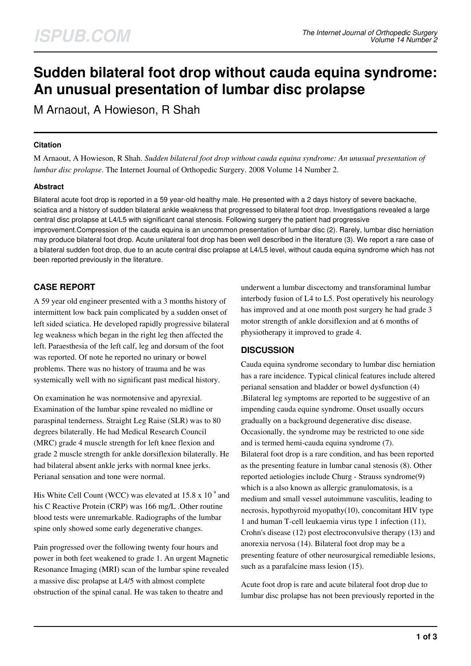# **Sudden bilateral foot drop without cauda equina syndrome: An unusual presentation of lumbar disc prolapse**

M Arnaout, A Howieson, R Shah

# **Citation**

M Arnaout, A Howieson, R Shah. *Sudden bilateral foot drop without cauda equina syndrome: An unusual presentation of lumbar disc prolapse*. The Internet Journal of Orthopedic Surgery. 2008 Volume 14 Number 2.

# **Abstract**

Bilateral acute foot drop is reported in a 59 year-old healthy male. He presented with a 2 days history of severe backache, sciatica and a history of sudden bilateral ankle weakness that progressed to bilateral foot drop. Investigations revealed a large central disc prolapse at L4/L5 with significant canal stenosis. Following surgery the patient had progressive improvement.Compression of the cauda equina is an uncommon presentation of lumbar disc (2). Rarely, lumbar disc herniation may produce bilateral foot drop. Acute unilateral foot drop has been well described in the literature (3). We report a rare case of a bilateral sudden foot drop, due to an acute central disc prolapse at L4/L5 level, without cauda equina syndrome which has not been reported previously in the literature.

# **CASE REPORT**

A 59 year old engineer presented with a 3 months history of intermittent low back pain complicated by a sudden onset of left sided sciatica. He developed rapidly progressive bilateral leg weakness which began in the right leg then affected the left. Paraesthesia of the left calf, leg and dorsum of the foot was reported. Of note he reported no urinary or bowel problems. There was no history of trauma and he was systemically well with no significant past medical history.

On examination he was normotensive and apyrexial. Examination of the lumbar spine revealed no midline or paraspinal tenderness. Straight Leg Raise (SLR) was to 80 degrees bilaterally. He had Medical Research Council (MRC) grade 4 muscle strength for left knee flexion and grade 2 muscle strength for ankle dorsiflexion bilaterally. He had bilateral absent ankle jerks with normal knee jerks. Perianal sensation and tone were normal.

His White Cell Count (WCC) was elevated at 15.8 x 10 $^{\circ}$  and his C Reactive Protein (CRP) was 166 mg/L .Other routine blood tests were unremarkable. Radiographs of the lumbar spine only showed some early degenerative changes.

Pain progressed over the following twenty four hours and power in both feet weakened to grade 1. An urgent Magnetic Resonance Imaging (MRI) scan of the lumbar spine revealed a massive disc prolapse at L4/5 with almost complete obstruction of the spinal canal. He was taken to theatre and

underwent a lumbar discectomy and transforaminal lumbar interbody fusion of L4 to L5. Post operatively his neurology has improved and at one month post surgery he had grade 3 motor strength of ankle dorsiflexion and at 6 months of physiotherapy it improved to grade 4.

# **DISCUSSION**

Cauda equina syndrome secondary to lumbar disc herniation has a rare incidence. Typical clinical features include altered perianal sensation and bladder or bowel dysfunction (4) .Bilateral leg symptoms are reported to be suggestive of an impending cauda equine syndrome. Onset usually occurs gradually on a background degenerative disc disease. Occasionally, the syndrome may be restricted to one side and is termed hemi-cauda equina syndrome (7). Bilateral foot drop is a rare condition, and has been reported as the presenting feature in lumbar canal stenosis (8). Other reported aetiologies include Churg - Strauss syndrome(9) which is a also known as allergic granulomatosis, is a medium and small vessel autoimmune vasculitis, leading to necrosis, hypothyroid myopathy(10), concomitant HIV type 1 and human T-cell leukaemia virus type 1 infection (11), Crohn's disease (12) post electroconvulsive therapy (13) and anorexia nervosa (14). Bilateral foot drop may be a presenting feature of other neurosurgical remediable lesions, such as a parafalcine mass lesion (15).

Acute foot drop is rare and acute bilateral foot drop due to lumbar disc prolapse has not been previously reported in the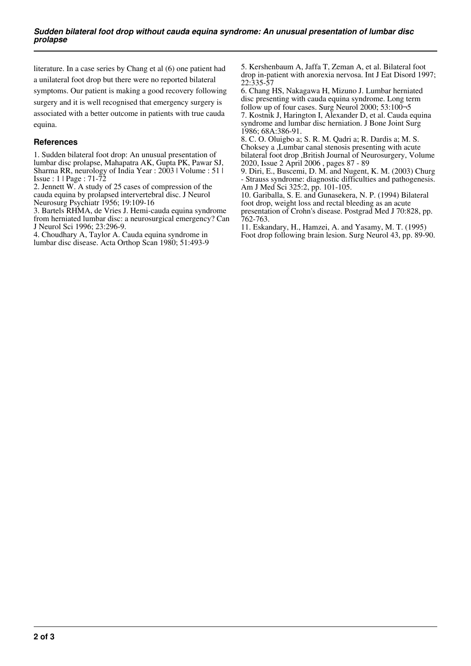literature. In a case series by Chang et al (6) one patient had a unilateral foot drop but there were no reported bilateral symptoms. Our patient is making a good recovery following surgery and it is well recognised that emergency surgery is associated with a better outcome in patients with true cauda equina.

#### **References**

1. Sudden bilateral foot drop: An unusual presentation of lumbar disc prolapse, Mahapatra AK, Gupta PK, Pawar SJ, Sharma RR, neurology of India Year : 2003 | Volume : 51 | Issue : 1 | Page : 71-72

2. Jennett W. A study of 25 cases of compression of the cauda equina by prolapsed intervertebral disc. J Neurol Neurosurg Psychiatr 1956; 19:109-16

3. Bartels RHMA, de Vries J. Hemi-cauda equina syndrome from herniated lumbar disc: a neurosurgical emergency? Can J Neurol Sci 1996; 23:296-9.

4. Choudhary A, Taylor A. Cauda equina syndrome in lumbar disc disease. Acta Orthop Scan 1980; 51:493-9 5. Kershenbaum A, Jaffa T, Zeman A, et al. Bilateral foot drop in-patient with anorexia nervosa. Int J Eat Disord 1997; 22:335-57

6. Chang HS, Nakagawa H, Mizuno J. Lumbar herniated disc presenting with cauda equina syndrome. Long term follow up of four cases. Surg Neurol 2000; 53:100¬5 7. Kostnik J, Harington I, Alexander D, et al. Cauda equina syndrome and lumbar disc herniation. J Bone Joint Surg

1986; 68A:386-91. 8. C. O. Oluigbo a; S. R. M. Qadri a; R. Dardis a; M. S. Choksey a ,Lumbar canal stenosis presenting with acute bilateral foot drop ,British Journal of Neurosurgery, Volume 2020, Issue 2 April 2006 , pages 87 - 89

9. Diri, E., Buscemi, D. M. and Nugent, K. M. (2003) Churg - Strauss syndrome: diagnostic difficulties and pathogenesis. Am J Med Sci 325:2, pp. 101-105.

10. Gariballa, S. E. and Gunasekera, N. P. (1994) Bilateral foot drop, weight loss and rectal bleeding as an acute presentation of Crohn's disease. Postgrad Med J 70:828, pp. 762-763.

11. Eskandary, H., Hamzei, A. and Yasamy, M. T. (1995) Foot drop following brain lesion. Surg Neurol 43, pp. 89-90.